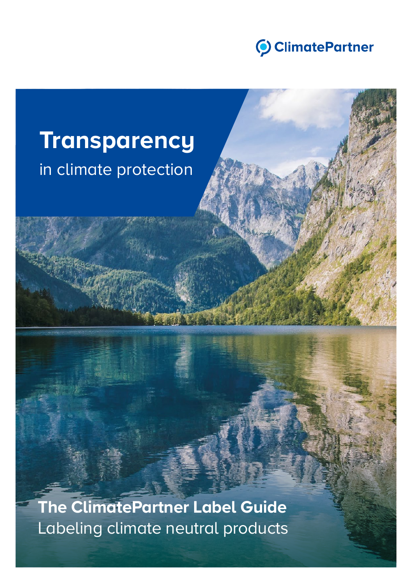

### **Transparency** in climate protection

**The ClimatePartner Label Guide** Labeling climate neutral products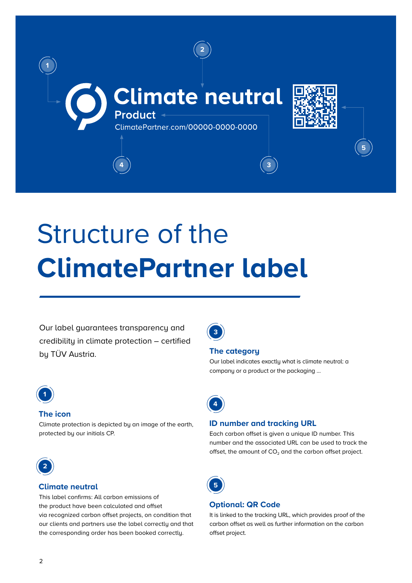

## Structure of the **ClimatePartner label**

Our label guarantees transparency and credibility in climate protection – certified by TÜV Austria.



#### **The icon**

Climate protection is depicted by an image of the earth, protected by our initials CP.



#### **Climate neutral**

This label confirms: All carbon emissions of the product have been calculated and offset via recognized carbon offset projects, on condition that our clients and partners use the label correctly and that the corresponding order has been booked correctly.

**3**

#### **The category**

Our label indicates exactly what is climate neutral: a company or a product or the packaging …



#### **ID number and tracking URL**

Each carbon offset is given a unique ID number. This number and the associated URL can be used to track the offset, the amount of  $CO<sub>2</sub>$  and the carbon offset project.



#### **Optional: QR Code**

It is linked to the tracking URL, which provides proof of the carbon offset as well as further information on the carbon offset project.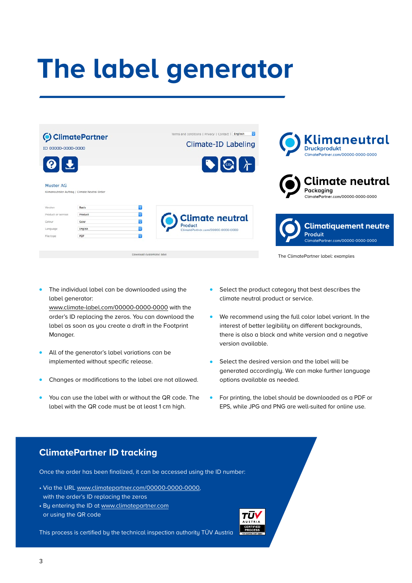# **The label generator**



The individual label can be downloaded using the label generator:

www.climate-label.com/00000-0000-0000 with the order's ID replacing the zeros. You can download the label as soon as you create a draft in the Footprint Manager.

- All of the generator's label variations can be implemented without specific release.
- Changes or modifications to the label are not allowed.
- You can use the label with or without the QR code. The label with the QR code must be at least 1 cm high.
- Select the product category that best describes the climate neutral product or service.
- We recommend using the full color label variant. In the interest of better legibility on different backgrounds, there is also a black and white version and a negative version available.
- Select the desired version and the label will be generated accordingly. We can make further language options available as needed.
- For printing, the label should be downloaded as a PDF or EPS, while JPG and PNG are well-suited for online use.

#### **ClimatePartner ID tracking**

Once the order has been finalized, it can be accessed using the ID number:

- Via the URL www.climatepartner.com/00000-0000-0000, with the order's ID replacing the zeros
- By entering the ID at www.climatepartner.com or using the QR code

This process is certified by the technical inspection authority TÜV Austria